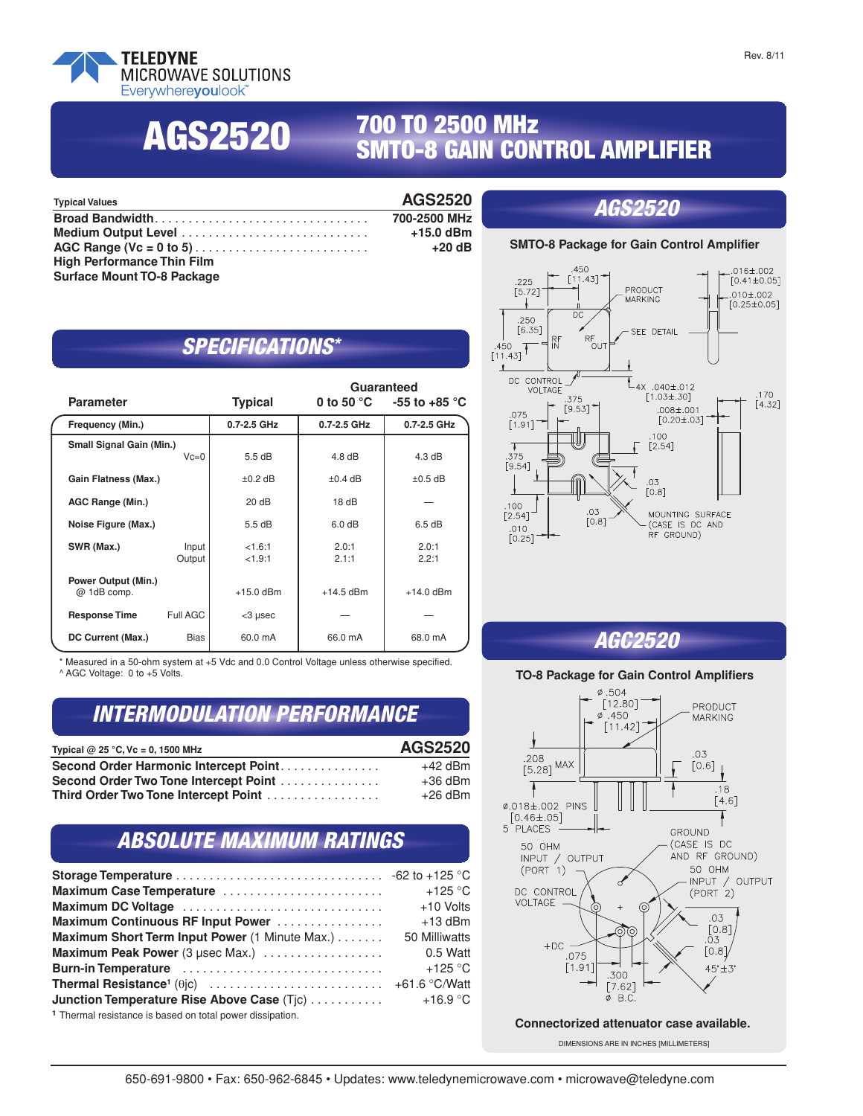

**AGS2520**

## **700 TO 2500 MHz SMTO-8 GAIN CONTROL AMPLIFIER**

| <b>Typical Values</b>             | <b>AGS2520</b> | <i><b>AGS2520</b></i>                               |                                  |
|-----------------------------------|----------------|-----------------------------------------------------|----------------------------------|
| Broad Bandwidth                   | 700-2500 MHz   |                                                     |                                  |
|                                   | $+15.0$ dBm    |                                                     |                                  |
|                                   | $+20$ dB       | <b>SMTO-8 Package for Gain Control Amplifier</b>    |                                  |
| <b>High Performance Thin Film</b> |                |                                                     |                                  |
| <b>Surface Mount TO-8 Package</b> |                | $\begin{array}{c} .450 \\ .225 \end{array}$ [11.43] | $\leftarrow$ $\leftarrow$ .016±. |

#### **SMTO-8 Amplifier Package** *AGS2520* **Voltage Controlled Amplifier**

#### *SPECIFICATIONS\**

| <b>Parameter</b>                          |                 | <b>Typical</b>    | Guaranteed<br>0 to 50 $^{\circ}$ C $^{-}$<br>-55 to +85 $^{\circ}$ C |                  |  |
|-------------------------------------------|-----------------|-------------------|----------------------------------------------------------------------|------------------|--|
| Frequency (Min.)                          |                 | 0.7-2.5 GHz       | 0.7-2.5 GHz                                                          | 0.7-2.5 GHz      |  |
| Small Signal Gain (Min.)                  | $Vc=0$          | 5.5dB             | $4.8 \text{ dB}$                                                     | $4.3 \text{ dB}$ |  |
| Gain Flatness (Max.)                      |                 | $\pm 0.2$ dB      | $\pm 0.4$ dB                                                         | $\pm 0.5$ dB     |  |
| AGC Range (Min.)                          |                 | 20 dB             | 18 $dB$                                                              |                  |  |
| Noise Figure (Max.)                       |                 | 5.5 dB            | 6.0 dB                                                               | 6.5 dB           |  |
| SWR (Max.)                                | Input<br>Output | <1.6:1<br>< 1.9:1 | 2.0:1<br>2.1:1                                                       | 2.0:1<br>2.2:1   |  |
| <b>Power Output (Min.)</b><br>@ 1dB comp. |                 | $+15.0$ dBm       | $+14.5$ dBm                                                          | $+14.0$ dBm      |  |
| <b>Response Time</b>                      | Full AGC        | <3 µsec           |                                                                      |                  |  |
| DC Current (Max.)                         | Bias            | 60.0 mA           | 66.0 mA                                                              | 68.0 mA          |  |

\* Measured in a 50-ohm system at +5 Vdc and 0.0 Control Voltage unless otherwise specified. ^ AGC Voltage: 0 to +5 Volts.

#### *INTERMODULATION PERFORMANCE*

| Typical $@$ 25 °C, Vc = 0, 1500 MHz   | <b>AGS2520</b> |
|---------------------------------------|----------------|
| Second Order Harmonic Intercept Point | $+42$ dBm      |
| Second Order Two Tone Intercept Point | $+36$ dBm      |
| Third Order Two Tone Intercept Point  | $+26$ dBm      |

### *ABSOLUTE MAXIMUM RATINGS*

| Maximum Case Temperature                                             | $+125$ °C     |
|----------------------------------------------------------------------|---------------|
|                                                                      | +10 Volts     |
| Maximum Continuous RF Input Power                                    | $+13$ dBm     |
| Maximum Short Term Input Power (1 Minute Max.)                       | 50 Milliwatts |
| Maximum Peak Power (3 µsec Max.)                                     | 0.5 Watt      |
| Burn-in Temperature                                                  | $+125$ °C     |
|                                                                      |               |
| Junction Temperature Rise Above Case (Tjc)                           | $+16.9 °C$    |
| <sup>1</sup> Thermal resistance is based on total power dissipation. |               |



# *AGC2520*

#### Teledyne Cougar • 408-522-3838 • 408-522-3839 fax **TO-8 Package for Gain Control Amplifiers**



DIMENSIONS ARE IN INCHES [MILLIMETERS]